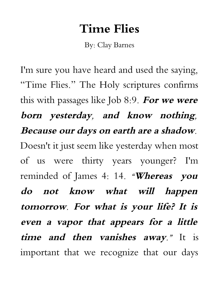## **Time Flies**

By: Clay Barnes

I'm sure you have heard and used the saying, "Time Flies." The Holy scriptures confirms this with passages like Job 8:9. **For we were born yesterday, and know nothing, Because our days on earth are a shadow.** Doesn't it just seem like yesterday when most of us were thirty years younger? I'm reminded of James 4: 14. **"Whereas you do not know what will happen tomorrow. For what is your life? It is even <sup>a</sup> vapor that appears for <sup>a</sup> little time and then vanishes away."** It is important that we recognize that our days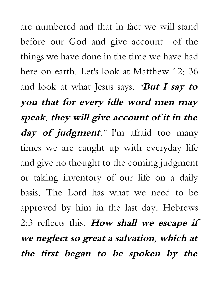are numbered and that in fact we will stand before our God and give account of the things we have done in the time we have had here on earth. Let's look at Matthew 12: 36 and look at what Jesus says. **"But I say to you that for every idle word men may speak, they will give account of it in the day of judgment."** I'm afraid too many times we are caught up with everyday life and give no thought to the coming judgment or taking inventory of our life on a daily basis. The Lord has what we need to be approved by him in the last day. Hebrews 2:3 reflects this. **How shall we escape if we neglect so great a salvation, which at the first began to be spoken by the**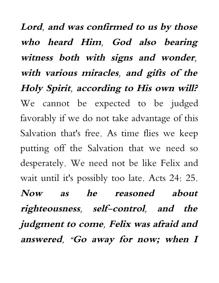**Lord, and was confirmed to us by those who heard Him, God also bearing witness both with signs and wonder, with various miracles, and gifts of the Holy Spirit, according to His own will?** We cannot be expected to be judged favorably if we do not take advantage of this Salvation that's free. As time flies we keep putting off the Salvation that we need so desperately. We need not be like Felix and wait until it's possibly too late. Acts 24: 25. **Now as he reasoned about righteousness, self-control, and the judgment to come, Felix was afraid and answered, "Go away for now; when <sup>I</sup>**